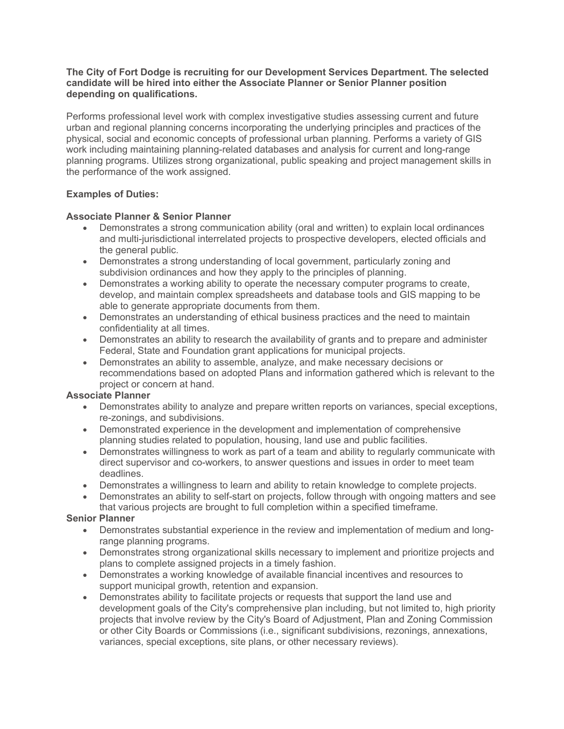### **The City of Fort Dodge is recruiting for our Development Services Department. The selected candidate will be hired into either the Associate Planner or Senior Planner position depending on qualifications.**

Performs professional level work with complex investigative studies assessing current and future urban and regional planning concerns incorporating the underlying principles and practices of the physical, social and economic concepts of professional urban planning. Performs a variety of GIS work including maintaining planning-related databases and analysis for current and long-range planning programs. Utilizes strong organizational, public speaking and project management skills in the performance of the work assigned.

# **Examples of Duties:**

## **Associate Planner & Senior Planner**

- Demonstrates a strong communication ability (oral and written) to explain local ordinances and multi-jurisdictional interrelated projects to prospective developers, elected officials and the general public.
- Demonstrates a strong understanding of local government, particularly zoning and subdivision ordinances and how they apply to the principles of planning.
- Demonstrates a working ability to operate the necessary computer programs to create, develop, and maintain complex spreadsheets and database tools and GIS mapping to be able to generate appropriate documents from them.
- Demonstrates an understanding of ethical business practices and the need to maintain confidentiality at all times.
- Demonstrates an ability to research the availability of grants and to prepare and administer Federal, State and Foundation grant applications for municipal projects.
- Demonstrates an ability to assemble, analyze, and make necessary decisions or recommendations based on adopted Plans and information gathered which is relevant to the project or concern at hand.

## **Associate Planner**

- Demonstrates ability to analyze and prepare written reports on variances, special exceptions, re-zonings, and subdivisions.
- Demonstrated experience in the development and implementation of comprehensive planning studies related to population, housing, land use and public facilities.
- Demonstrates willingness to work as part of a team and ability to regularly communicate with direct supervisor and co-workers, to answer questions and issues in order to meet team deadlines.
- Demonstrates a willingness to learn and ability to retain knowledge to complete projects.
- Demonstrates an ability to self-start on projects, follow through with ongoing matters and see that various projects are brought to full completion within a specified timeframe.

### **Senior Planner**

- Demonstrates substantial experience in the review and implementation of medium and longrange planning programs.
- Demonstrates strong organizational skills necessary to implement and prioritize projects and plans to complete assigned projects in a timely fashion.
- Demonstrates a working knowledge of available financial incentives and resources to support municipal growth, retention and expansion.
- Demonstrates ability to facilitate projects or requests that support the land use and development goals of the City's comprehensive plan including, but not limited to, high priority projects that involve review by the City's Board of Adjustment, Plan and Zoning Commission or other City Boards or Commissions (i.e., significant subdivisions, rezonings, annexations, variances, special exceptions, site plans, or other necessary reviews).